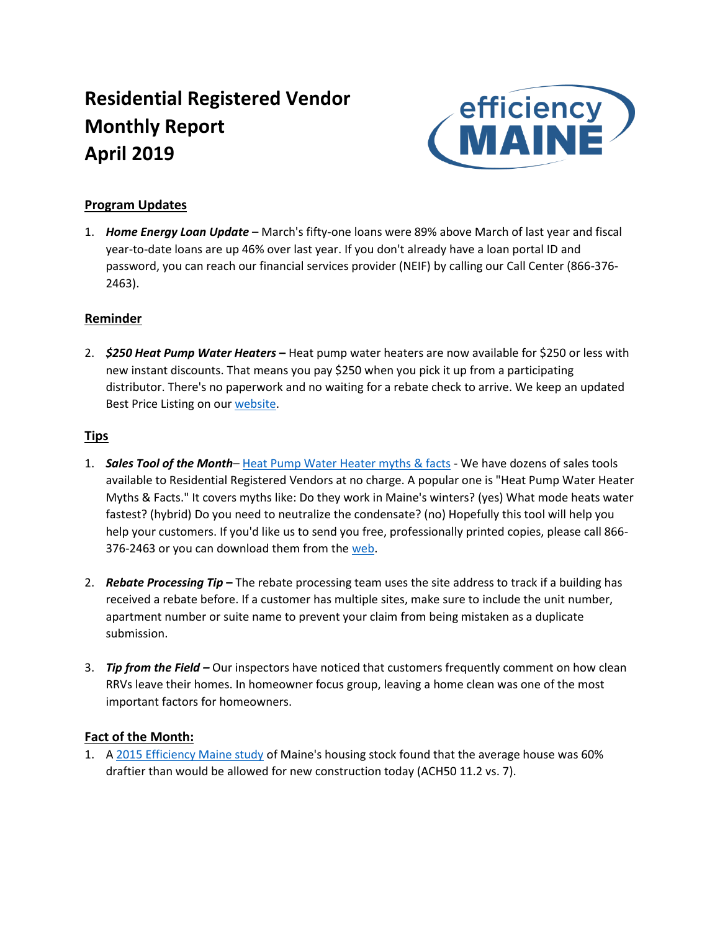# **Residential Registered Vendor Monthly Report April 2019**



## **Program Updates**

1. *Home Energy Loan Update* – March's fifty-one loans were 89% above March of last year and fiscal year-to-date loans are up 46% over last year. If you don't already have a loan portal ID and password, you can reach our financial services provider (NEIF) by calling our Call Center (866-376- 2463).

### **Reminder**

2. *\$250 Heat Pump Water Heaters* **–** Heat pump water heaters are now available for \$250 or less with new instant discounts. That means you pay \$250 when you pick it up from a participating distributor. There's no paperwork and no waiting for a rebate check to arrive. We keep an updated Best Price Listing on ou[r website.](https://www.efficiencymaine.com/docs/EM_HPWH_Deals.pdf)

### **Tips**

- 1. *Sales Tool of the Month* [Heat Pump Water Heater myths & facts](https://www.efficiencymaine.com/docs/EM-Heat-Pump-Water-Heater-Myths-Facts.pdf) We have dozens of sales tools available to Residential Registered Vendors at no charge. A popular one is "Heat Pump Water Heater Myths & Facts." It covers myths like: Do they work in Maine's winters? (yes) What mode heats water fastest? (hybrid) Do you need to neutralize the condensate? (no) Hopefully this tool will help you help your customers. If you'd like us to send you free, professionally printed copies, please call 866 376-2463 or you can download them from the [web.](https://www.efficiencymaine.com/docs/EM-Heat-Pump-Water-Heater-Myths-Facts.pdf)
- 2. *Rebate Processing Tip* **–** The rebate processing team uses the site address to track if a building has received a rebate before. If a customer has multiple sites, make sure to include the unit number, apartment number or suite name to prevent your claim from being mistaken as a duplicate submission.
- 3. *Tip from the Field –* Our inspectors have noticed that customers frequently comment on how clean RRVs leave their homes. In homeowner focus group, leaving a home clean was one of the most important factors for homeowners.

### **Fact of the Month:**

1. A [2015 Efficiency Maine study](https://www.efficiencymaine.com/docs/2015-Maine-Residential-Baseline-Study-Report-NMR.pdf) of Maine's housing stock found that the average house was 60% draftier than would be allowed for new construction today (ACH50 11.2 vs. 7).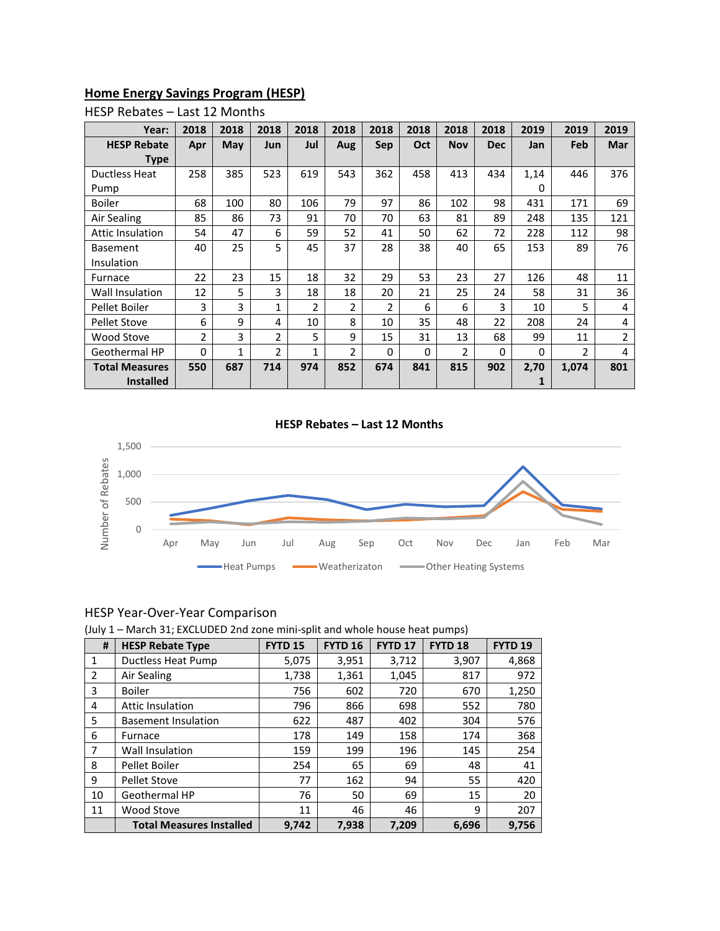## **Home Energy Savings Program (HESP)**

| Year:                   | 2018           | 2018 | 2018           | 2018           | 2018           | 2018           | 2018 | 2018           | 2018       | 2019     | 2019  | 2019           |
|-------------------------|----------------|------|----------------|----------------|----------------|----------------|------|----------------|------------|----------|-------|----------------|
| <b>HESP Rebate</b>      | Apr            | May  | <b>Jun</b>     | Jul            | Aug            | <b>Sep</b>     | Oct  | <b>Nov</b>     | <b>Dec</b> | Jan      | Feb   | <b>Mar</b>     |
| Type                    |                |      |                |                |                |                |      |                |            |          |       |                |
| Ductless Heat           | 258            | 385  | 523            | 619            | 543            | 362            | 458  | 413            | 434        | 1,14     | 446   | 376            |
| Pump                    |                |      |                |                |                |                |      |                |            | 0        |       |                |
| <b>Boiler</b>           | 68             | 100  | 80             | 106            | 79             | 97             | 86   | 102            | 98         | 431      | 171   | 69             |
| Air Sealing             | 85             | 86   | 73             | 91             | 70             | 70             | 63   | 81             | 89         | 248      | 135   | 121            |
| <b>Attic Insulation</b> | 54             | 47   | 6              | 59             | 52             | 41             | 50   | 62             | 72         | 228      | 112   | 98             |
| <b>Basement</b>         | 40             | 25   | 5              | 45             | 37             | 28             | 38   | 40             | 65         | 153      | 89    | 76             |
| Insulation              |                |      |                |                |                |                |      |                |            |          |       |                |
| Furnace                 | 22             | 23   | 15             | 18             | 32             | 29             | 53   | 23             | 27         | 126      | 48    | 11             |
| Wall Insulation         | 12             | 5    | 3              | 18             | 18             | 20             | 21   | 25             | 24         | 58       | 31    | 36             |
| Pellet Boiler           | 3              | 3    | 1              | $\overline{2}$ | $\overline{2}$ | $\overline{2}$ | 6    | 6              | 3          | 10       | 5     | 4              |
| <b>Pellet Stove</b>     | 6              | 9    | 4              | 10             | 8              | 10             | 35   | 48             | 22         | 208      | 24    | 4              |
| <b>Wood Stove</b>       | $\overline{2}$ | 3    | $\overline{2}$ | 5              | 9              | 15             | 31   | 13             | 68         | 99       | 11    | $\overline{2}$ |
| Geothermal HP           | 0              | 1    | 2              | 1              | 2              | $\Omega$       | 0    | $\overline{2}$ | $\Omega$   | $\Omega$ | 2     | 4              |
| <b>Total Measures</b>   | 550            | 687  | 714            | 974            | 852            | 674            | 841  | 815            | 902        | 2,70     | 1,074 | 801            |
| <b>Installed</b>        |                |      |                |                |                |                |      |                |            |          |       |                |

#### HESP Rebates – Last 12 Months

#### **HESP Rebates – Last 12 Months**



#### HESP Year-Over-Year Comparison

(July 1 – March 31; EXCLUDED 2nd zone mini-split and whole house heat pumps)

| #  | <b>HESP Rebate Type</b>         | <b>FYTD 15</b> | <b>FYTD 16</b> | <b>FYTD 17</b> | FYTD <sub>18</sub> | FYTD <sub>19</sub> |
|----|---------------------------------|----------------|----------------|----------------|--------------------|--------------------|
| 1  | <b>Ductless Heat Pump</b>       | 5,075          | 3,951          | 3,712          | 3,907              | 4,868              |
| 2  | Air Sealing                     | 1,738          | 1,361          | 1,045          | 817                | 972                |
| 3  | <b>Boiler</b>                   | 756            | 602            | 720            | 670                | 1,250              |
| 4  | <b>Attic Insulation</b>         | 796            | 866            | 698            | 552                | 780                |
| 5  | <b>Basement Insulation</b>      | 622            | 487            | 402            | 304                | 576                |
| 6  | Furnace                         | 178            | 149            | 158            | 174                | 368                |
| 7  | Wall Insulation                 | 159            | 199            | 196            | 145                | 254                |
| 8  | Pellet Boiler                   | 254            | 65             | 69             | 48                 | 41                 |
| 9  | <b>Pellet Stove</b>             | 77             | 162            | 94             | 55                 | 420                |
| 10 | Geothermal HP                   | 76             | 50             | 69             | 15                 | 20                 |
| 11 | Wood Stove                      | 11             | 46             | 46             | 9                  | 207                |
|    | <b>Total Measures Installed</b> | 9,742          | 7,938          | 7,209          | 6,696              | 9.756              |